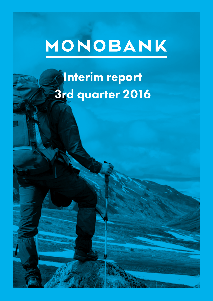# MONOBANK

## Interim report 3rd quarter 2016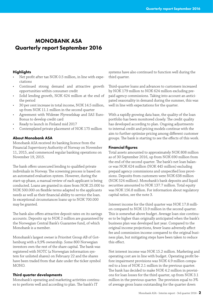### MONOBANK ASA Quarterly report September 2016

#### **Highlights**

- Net profit after tax NOK 0.5 million, in line with expectations
- Continued strong demand and attractive growth opportunities within consumer credit
- Solid lending growth, NOK 624 million at the end of the period
- 30 per cent increase in total income, NOK 14.5 million, up from NOK 11.1 million in the second quarter
- Agreement with Widerøe Flyveselskap and SAS Euro-Bonus to develop credit card
- Ready to launch in Finland mid 2017
- Contemplated private placement of NOK 175 million

#### About Monobank ASA

Monobank ASA received its banking licence from the Financial Supervisory Authority of Norway on November 11, 2015, and commenced regular banking operations on November 19, 2015.

The bank offers unsecured lending to qualified private individuals in Norway. The screening process is based on an automated evaluation system. However, during the start-up phase, a manual review of each applicant is being conducted. Loans are granted in sizes from NOK 25.000 to NOK 500.000 on flexible terms adapted to the applicants needs as well as their financial ability to service the loan. In exceptional circumstances loans up to NOK 700.000 may be granted.

The bank also offers attractive deposit rates on its savings accounts. Deposits up to NOK 2 million are guaranteed by the Norwegian Central Bank's Guarantee fund, of which Monobank is a member.

Monobank's largest owner is Prioritet Group AB of Gothenburg with a 9,9% ownership. Some 800 Norwegian investors own the rest of the share capital. The bank was registered with NOTC (a Norwegian information system for unlisted shares) on February 22 and the shares have been traded from that date under the ticker symbol MONO.

#### Third quarter developments

Monobank's operating and marketing activities continues to perform well and according to plan. The bank's IT

systems have also continued to function well during the third quarter.

Third-quarter loans and advances to customers increased by NOK 179 million to NOK 624 million excluding prepaid agency commissions. Taking into account an anticipated seasonality in demand during the summer, this was well in line with expectations for the quarter.

With a rapidly growing data base, the quality of the loan portfolio has been monitored closely. The credit quality has developed according to plan. Ongoing adjustments to internal credit and pricing models continue with the aim to further optimize pricing among different customer groups. The bank is starting to see the effects of this work.

#### Financial figures

Total assets amounted to approximately NOK 808 million as of 30 September 2016, up from NOK 690 million from the end of the second quarter. The bank's net loan balance was NOK 624 million (NOK 445 million) excluding prepaid agency commissions and unspecified loss provisions. Deposits from customers were NOK 638 million (NOK 524 million). Monobank's bank deposits and liquid securities amounted to NOK 137.7 million. Total equity was NOK 156.8 million. For information about regulatory capital ratios, see the note 3.

Interest income for the third quarter was NOK 17.8 million compared to NOK 13.9 million in the second quarter. This is somewhat above budget. Average loan size continues to be higher than originally anticipated when the bank's business plan was developed last year. Compared to the original income projections, fewer loans adversely affect fee and commission income compared to the original business plan, but mitigating steps have been taken to reduce this effect.

Net interest income was NOK 15.2 million. Marketing and operating cost are in line with budget. Operating profit before impairment provisions was NOK 4.9 million compared to a loss of NOK 2.1 million in the previous quarter. The bank has decided to make NOK 4.2 million in provisions for loan losses for the third quarter, up from NOK 3.1 million in the previous quarter. The provision equal to 3% of average gross loans outstanding for the quarter down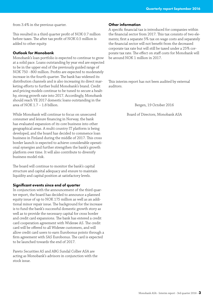from 3.4% in the previous quarter.

This resulted in a third quarter profit of NOK 0.7 million before taxes. The after tax profit of NOK 0.5 million is added to other equity.

#### Outlook for Monobank

Monobank's loan portfolio is expected to continue to grow at a solid pace. Loans outstanding by year end are expected to be in the upper end of the previously guided range of NOK 750 - 800 million. Profits are expected to moderately increase in the fourth quarter. The bank has widened its distribution channels and is also increasing its direct marketing efforts to further build Monobank's brand. Credit and pricing models continue to be tuned to secure a healthy, strong growth rate into 2017. Accordingly, Monobank should reach YE 2017 domestic loans outstanding in the area of NOK 1.7 – 1.8 billion.

While Monobank will continue to focus on unsecured consumer and leisure financing in Norway, the bank has evaluated expansion of its core business into other geographical areas. A multi country IT platform is being developed, and the board has decided to commence loan business in Finland during the middle of 2017. This cross border launch is expected to achieve considerable operational synergies and further strengthen the bank's growth platform over time. It will also contribute to diversify business model risk.

The board will continue to monitor the bank's capital structure and capital adequacy and ensure to maintain liquidity and capital position at satisfactory levels.

#### Significant events since end of quarter

In conjunction with the announcement of the third quarter report, the board has decided to announce a planned equity issue of up to NOK 175 million as well as an additional minor repair issue. The background for the increase is to fund the bank's successful domestic growth story as well as to provide the necessary capital for cross border and credit card expansions. The bank has entered a credit card cooperation agreement with Widerøe AS. The credit card will be offered to all Widerøe customers, and will allow credit card users to earn Eurobonus points through a firm agreement with SAS Eurobonus. The card is expected to be launched towards the end of 2017.

Pareto Securities AS and ABG Sundal Collier ASA are acting as Monobank's advisors in conjunction with the stock issue.

#### Other information

A specific financial tax is introduced for companies within the financial sector from 2017. This tax consists of two elements; first a separate 5% tax on wage costs and separately the financial sector will not benefit from the decreased corporate tax rate but will still be taxed under a 25% corporate tax rate. The effect on staff costs for Monobank will be around NOK 1 million in 2017.

This interim report has not been audited by external auditors.

Bergen, 19 October 2016

Board of Directors, Monobank ASA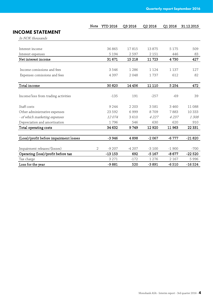Note YTD 2016 Q3 2016 Q2 2016 Q1 2016 31.12.2015

| <b>INCOME STATEMENT</b> |  |
|-------------------------|--|
|-------------------------|--|

| VIIIL JIAILIILINI<br>In NOK thousands  |                |          |         |         |         |          |
|----------------------------------------|----------------|----------|---------|---------|---------|----------|
|                                        |                |          |         |         |         |          |
| Interest income                        |                | 36 865   | 17815   | 13875   | 5 1 7 5 | 509      |
| Interest expenses                      |                | 5 1 9 4  | 2597    | 2 1 5 1 | 446     | 83       |
| Net interest income                    |                | 31 671   | 15 218  | 11723   | 4730    | 427      |
|                                        |                |          |         |         |         |          |
| Income comissions and fees             |                | 3546     | 1 2 8 6 | 1 1 2 4 | 1 1 3 7 | 127      |
| Expenses comissions and fees           |                | 4 3 9 7  | 2048    | 1737    | 612     | 82       |
| Total income                           |                | 30 8 20  | 14 4 56 | 11 110  | 5 2 5 4 | 472      |
|                                        |                |          |         |         |         |          |
| Income/loss from trading activities    |                | $-135$   | 191     | $-257$  | -69     | 39       |
| Staff costs                            |                | 9 2 4 4  | 2 2 0 3 | 3581    | 3 4 6 0 | 11 088   |
| Other administrative expenses          |                | 23 5 9 2 | 6999    | 8709    | 7883    | 10 333   |
| - of which marketing expenses          |                | 12074    | 3610    | 4 2 2 7 | 4237    | 1308     |
| Depreciation and amortisation          |                | 1796     | 546     | 630     | 620     | 910      |
| Total operating costs                  |                | 34 632   | 9749    | 12920   | 11963   | 22 3 31  |
| (Loss)/profit before impairment losses |                | $-3946$  | 4898    | $-2067$ | $-6777$ | $-21820$ |
|                                        |                |          |         |         |         |          |
| Impairment releases/(losses)           | $\overline{2}$ | $-9207$  | $-4207$ | $-3100$ | $-1900$ | $-700$   |
| Operating (loss)/profit before tax     |                | $-13153$ | 692     | $-5167$ | $-8677$ | $-22520$ |
| Tax charge                             |                | 3 2 7 1  | $-172$  | 1 2 7 6 | 2 1 6 7 | 5996     |
| Loss for the year                      |                | $-9881$  | 520     | $-3891$ | $-6510$ | $-16524$ |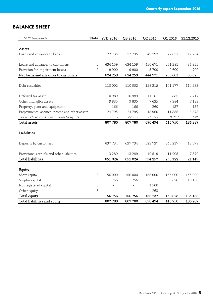### BALANCE SHEET

| In NOK thousands                             | Note           | <b>YTD 2016</b> | Q3 2016        | Q2 2016 | Q1 2016 | 31.12.2015 |
|----------------------------------------------|----------------|-----------------|----------------|---------|---------|------------|
|                                              |                |                 |                |         |         |            |
| Assets                                       |                |                 |                |         |         |            |
| Loans and advances to banks                  |                | 27735           | 27735          | 49 293  | 27631   | 17 204     |
|                                              |                |                 |                |         |         |            |
| Loans and advances to customers              | $\overline{2}$ | 634 159         | 634 159        | 450 671 | 261 281 | 36 325     |
| Provision for impairment losses              | $\overline{2}$ | 9900            | 9900           | 5 700   | 2600    | 700        |
| Net loans and advances to customers          |                | 624 259         | 624 259        | 444 971 | 258 681 | 35 625     |
|                                              |                |                 |                |         |         |            |
| Debt securities                              |                | 110 002         | 110 002        | 158 215 | 101 177 | 114 583    |
|                                              |                |                 |                |         |         |            |
| Deferred tax asset                           |                | 10 989          | 10 989         | 11 161  | 9885    | 7717       |
| Other intangible assets                      |                | 9835            | 9835           | 7635    | 7384    | 7 1 2 3    |
| Property, plant and equipment                |                | 166             | 166            | 260     | 137     | 157        |
| Prepayments, accrued income and other assets |                | 24 795          | 24 795         | 18 960  | 11855   | 3878       |
| - of which accrued commission to agents      |                | 22 2 25         | 22 2 25        | 15971   | 8969    | 1525       |
| Total assets                                 |                | 807 780         | 807780         | 690 494 | 416 750 | 186 287    |
|                                              |                |                 |                |         |         |            |
| Liabilities                                  |                |                 |                |         |         |            |
|                                              |                |                 |                |         |         |            |
| Deposits by customers                        |                | 637734          | 637734         | 523 737 | 246 217 | 13 5 7 9   |
|                                              |                |                 |                |         |         |            |
| Provisions, acrruals and other liabilities   |                | 13 2 8 9        | 13 2 8 9       | 10 519  | 11 905  | 7570       |
| <b>Total liabilities</b>                     |                | 651 024         | 651 024        | 534 257 | 258 122 | 21 149     |
|                                              |                |                 |                |         |         |            |
| Equity                                       |                |                 |                |         |         |            |
| Share capital                                | 3              | 156 000         | 156 000        | 155 000 | 155 000 | 155 000    |
| Surplus capital                              | З              | 756             | 756            |         | 3628    | 10 138     |
| Not registered capital                       | 3              |                 | $\overline{a}$ | 1500    |         |            |
| Other equity                                 | 3              |                 |                | $-263$  |         |            |
| Total equity                                 |                | 156 756         | 156 756        | 156 237 | 158 628 | 165 138    |
| Total liabilities and equity                 |                | 807780          | 807780         | 690 494 | 416 750 | 186 287    |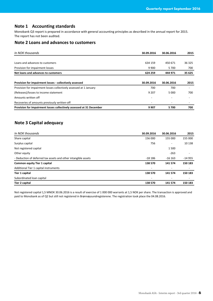#### **Note 1 Accounting standards**

Monobank Q3 report is prepared in accordance with general accounting principles as described in the annual report for 2015. The report has not been audited.

#### **Note 2 Loans and advances to customers**

| In NOK thousands                                                   | 30.09.2016 | 30.06.2016 | 2015   |
|--------------------------------------------------------------------|------------|------------|--------|
|                                                                    |            |            |        |
| Loans and advances to customers                                    | 634 159    | 450 671    | 36 325 |
| Provision for impairment losses                                    | 9 9 0 0    | 5 700      | 700    |
| Net loans and advances to customers                                | 624 259    | 444 971    | 35 625 |
| Provision for impairment losses - collectively assessed            | 30.09.2016 | 30.06.2016 | 2015   |
| Provision for impairment losses collectively assessed at 1 January | 700        | 700        |        |
| (Releases)/losses to income statement                              | 9 2 0 7    | 5 000      | 700    |
| Amounts written off                                                |            |            |        |
|                                                                    |            |            |        |
| Recoveries of amounts previously written-off                       |            |            |        |

#### **Note 3 Capital adequacy**

| In NOK thousands                                               | 30.09.2016 | 30.06.2016 | 2015                     |
|----------------------------------------------------------------|------------|------------|--------------------------|
| Share capital                                                  | 156 000    | 155 000    | 155 000                  |
| Surplus capital                                                | 756        |            | 10 138                   |
| Not registered capital                                         |            | 1500       |                          |
| Other equity                                                   |            | $-263$     | $\overline{\phantom{a}}$ |
| - Deduction of deferred tax assets and other intangible assets | $-18186$   | $-16$ 163  | $-14955$                 |
| <b>Common equity Tier 1 capital</b>                            | 138 570    | 141 574    | 150 183                  |
| Additional Tier 1 capital instruments                          | ۰          | ۰          |                          |
| <b>Tier 1 capital</b>                                          | 138 570    | 141 574    | 150 183                  |
| Subordinated loan capital                                      |            |            |                          |
| <b>Tier 2 capital</b>                                          | 138 570    | 141 574    | 150 183                  |

Not registered capital 1,5 MNOK 30.06.2016 is a result of exercise of 1 000 000 warrants at 1,5 NOK per share. The transaction is approved and paid to Monobank as of Q2 but still not registered in Brønnøysundregisterene. The registration took place the 04.08.2016.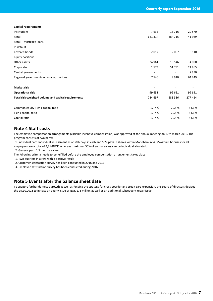|  | <b>Capital requirements</b> |
|--|-----------------------------|
|--|-----------------------------|

| Institutions                                        | 7635    | 15716   | 29 570  |
|-----------------------------------------------------|---------|---------|---------|
| Retail                                              | 641 314 | 484 715 | 41 989  |
| Retail - Mortgage Ioans                             |         |         |         |
| In default                                          |         |         |         |
| Covered bonds                                       | 2017    | 2 0 0 7 | 8 1 1 0 |
| <b>Equity positions</b>                             |         |         |         |
| Other assets                                        | 24 961  | 19546   | 4 0 0 0 |
| Corporate                                           | 1573    | 51791   | 21865   |
| Central governments                                 |         |         | 7990    |
| Regional governments or local authorities           | 7546    | 9910    | 64 249  |
| <b>Market risk</b>                                  |         |         |         |
| <b>Operational risk</b>                             | 99 651  | 99 651  | 99 651  |
| Total risk-weighted volume and capital requirements | 784 697 | 683 336 | 277 424 |
|                                                     |         |         |         |
| Common equity Tier 1 capital ratio                  | 17,7%   | 20,5 %  | 54,1%   |
| Tier 1 capital ratio                                | 17,7 %  | 20,5 %  | 54,1%   |
| Capital ratio                                       | 17,7 %  | 20,5 %  | 54,1%   |

#### **Note 4 Staff costs**

The employee compensation arrangements (variable incentive compensation) was approved at the annual meeting on 17th march 2016. The program consists of two parts:

 1. Individual part: Individual asse ssment as of 50% pays in cash and 50% pays in shares within Monobank ASA. Maximum bonuses for all employees are a total of 4,3 MNOK, whereas maximum 50% of annual salary can be individual allocated.

2. General part: 1,5 months salary

The following criteria needs to be fulfilled before the employee compensation arrangement takes place

1. Two quarters in a row with a positive result

2. Customer satisfaction survey has been conducted in 2016 and 2017

3. Employee satisfaction survey has been conducted during 2016

#### **Note 5 Events after the balance sheet date**

To support further domestic growth as well as funding the strategy for cross boarder and credit card expansion, the Board of directors decided the 19.10.2016 to initiate an equity issue of NOK 175 million as well as an additional subsequent repair issue.